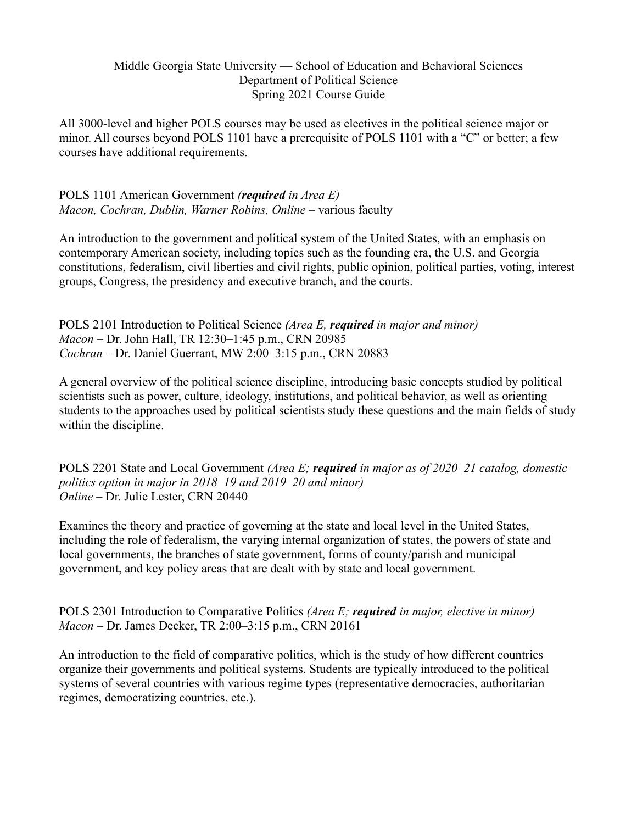### Middle Georgia State University — School of Education and Behavioral Sciences Department of Political Science Spring 2021 Course Guide

All 3000-level and higher POLS courses may be used as electives in the political science major or minor. All courses beyond POLS 1101 have a prerequisite of POLS 1101 with a "C" or better; a few courses have additional requirements.

### POLS 1101 American Government *(required in Area E) Macon, Cochran, Dublin, Warner Robins, Online* – various faculty

An introduction to the government and political system of the United States, with an emphasis on contemporary American society, including topics such as the founding era, the U.S. and Georgia constitutions, federalism, civil liberties and civil rights, public opinion, political parties, voting, interest groups, Congress, the presidency and executive branch, and the courts.

POLS 2101 Introduction to Political Science *(Area E, required in major and minor) Macon* – Dr. John Hall, TR 12:30–1:45 p.m., CRN 20985 *Cochran* – Dr. Daniel Guerrant, MW 2:00–3:15 p.m., CRN 20883

A general overview of the political science discipline, introducing basic concepts studied by political scientists such as power, culture, ideology, institutions, and political behavior, as well as orienting students to the approaches used by political scientists study these questions and the main fields of study within the discipline.

POLS 2201 State and Local Government *(Area E; required in major as of 2020–21 catalog, domestic politics option in major in 2018–19 and 2019–20 and minor) Online* – Dr. Julie Lester, CRN 20440

Examines the theory and practice of governing at the state and local level in the United States, including the role of federalism, the varying internal organization of states, the powers of state and local governments, the branches of state government, forms of county/parish and municipal government, and key policy areas that are dealt with by state and local government.

POLS 2301 Introduction to Comparative Politics *(Area E; required in major, elective in minor) Macon* – Dr. James Decker, TR 2:00–3:15 p.m., CRN 20161

An introduction to the field of comparative politics, which is the study of how different countries organize their governments and political systems. Students are typically introduced to the political systems of several countries with various regime types (representative democracies, authoritarian regimes, democratizing countries, etc.).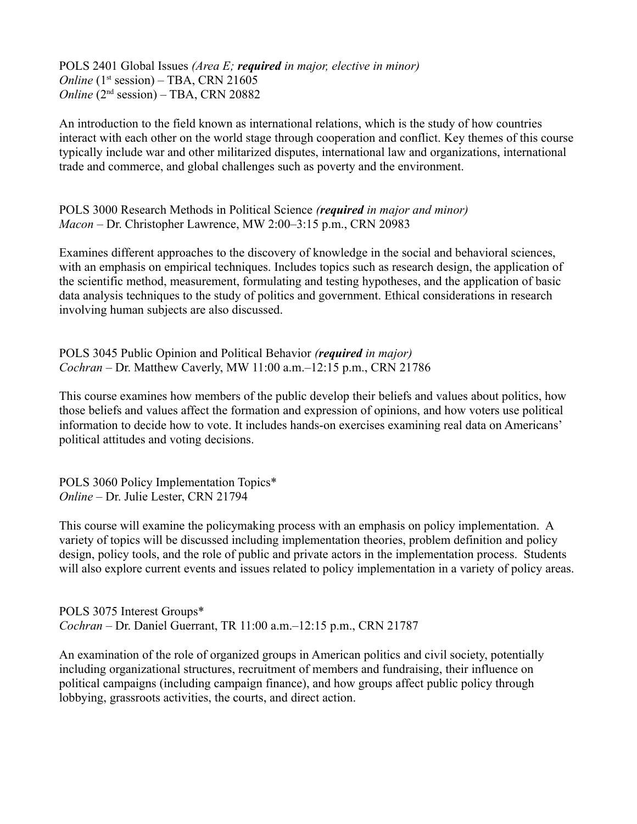POLS 2401 Global Issues *(Area E; required in major, elective in minor) Online*  $(1<sup>st</sup> session) – TBA, CRN 21605$ *Online* (2<sup>nd</sup> session) – TBA, CRN 20882

An introduction to the field known as international relations, which is the study of how countries interact with each other on the world stage through cooperation and conflict. Key themes of this course typically include war and other militarized disputes, international law and organizations, international trade and commerce, and global challenges such as poverty and the environment.

POLS 3000 Research Methods in Political Science *(required in major and minor) Macon* – Dr. Christopher Lawrence, MW 2:00–3:15 p.m., CRN 20983

Examines different approaches to the discovery of knowledge in the social and behavioral sciences, with an emphasis on empirical techniques. Includes topics such as research design, the application of the scientific method, measurement, formulating and testing hypotheses, and the application of basic data analysis techniques to the study of politics and government. Ethical considerations in research involving human subjects are also discussed.

POLS 3045 Public Opinion and Political Behavior *(required in major) Cochran* – Dr. Matthew Caverly, MW 11:00 a.m.–12:15 p.m., CRN 21786

This course examines how members of the public develop their beliefs and values about politics, how those beliefs and values affect the formation and expression of opinions, and how voters use political information to decide how to vote. It includes hands-on exercises examining real data on Americans' political attitudes and voting decisions.

POLS 3060 Policy Implementation Topics\* *Online* – Dr. Julie Lester, CRN 21794

This course will examine the policymaking process with an emphasis on policy implementation. A variety of topics will be discussed including implementation theories, problem definition and policy design, policy tools, and the role of public and private actors in the implementation process. Students will also explore current events and issues related to policy implementation in a variety of policy areas.

POLS 3075 Interest Groups\* *Cochran* – Dr. Daniel Guerrant, TR 11:00 a.m.–12:15 p.m., CRN 21787

An examination of the role of organized groups in American politics and civil society, potentially including organizational structures, recruitment of members and fundraising, their influence on political campaigns (including campaign finance), and how groups affect public policy through lobbying, grassroots activities, the courts, and direct action.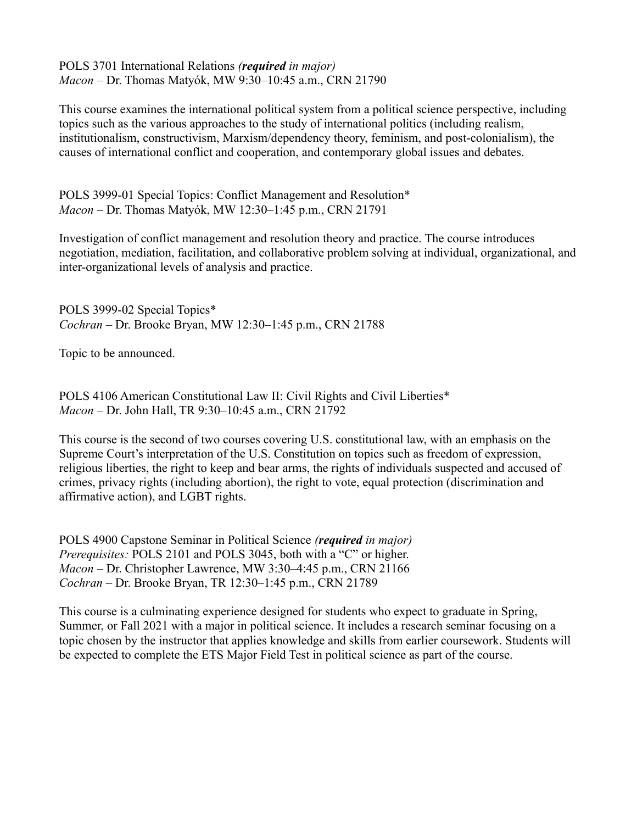POLS 3701 International Relations *(required in major) Macon* – Dr. Thomas Matyók, MW 9:30–10:45 a.m., CRN 21790

This course examines the international political system from a political science perspective, including topics such as the various approaches to the study of international politics (including realism, institutionalism, constructivism, Marxism/dependency theory, feminism, and post-colonialism), the causes of international conflict and cooperation, and contemporary global issues and debates.

POLS 3999-01 Special Topics: Conflict Management and Resolution\* *Macon* – Dr. Thomas Matyók, MW 12:30–1:45 p.m., CRN 21791

Investigation of conflict management and resolution theory and practice. The course introduces negotiation, mediation, facilitation, and collaborative problem solving at individual, organizational, and inter-organizational levels of analysis and practice.

POLS 3999-02 Special Topics\* *Cochran* – Dr. Brooke Bryan, MW 12:30–1:45 p.m., CRN 21788

Topic to be announced.

POLS 4106 American Constitutional Law II: Civil Rights and Civil Liberties\* *Macon* – Dr. John Hall, TR 9:30–10:45 a.m., CRN 21792

This course is the second of two courses covering U.S. constitutional law, with an emphasis on the Supreme Court's interpretation of the U.S. Constitution on topics such as freedom of expression, religious liberties, the right to keep and bear arms, the rights of individuals suspected and accused of crimes, privacy rights (including abortion), the right to vote, equal protection (discrimination and affirmative action), and LGBT rights.

POLS 4900 Capstone Seminar in Political Science *(required in major) Prerequisites:* POLS 2101 and POLS 3045, both with a "C" or higher. *Macon* – Dr. Christopher Lawrence, MW 3:30–4:45 p.m., CRN 21166 *Cochran* – Dr. Brooke Bryan, TR 12:30–1:45 p.m., CRN 21789

This course is a culminating experience designed for students who expect to graduate in Spring, Summer, or Fall 2021 with a major in political science. It includes a research seminar focusing on a topic chosen by the instructor that applies knowledge and skills from earlier coursework. Students will be expected to complete the ETS Major Field Test in political science as part of the course.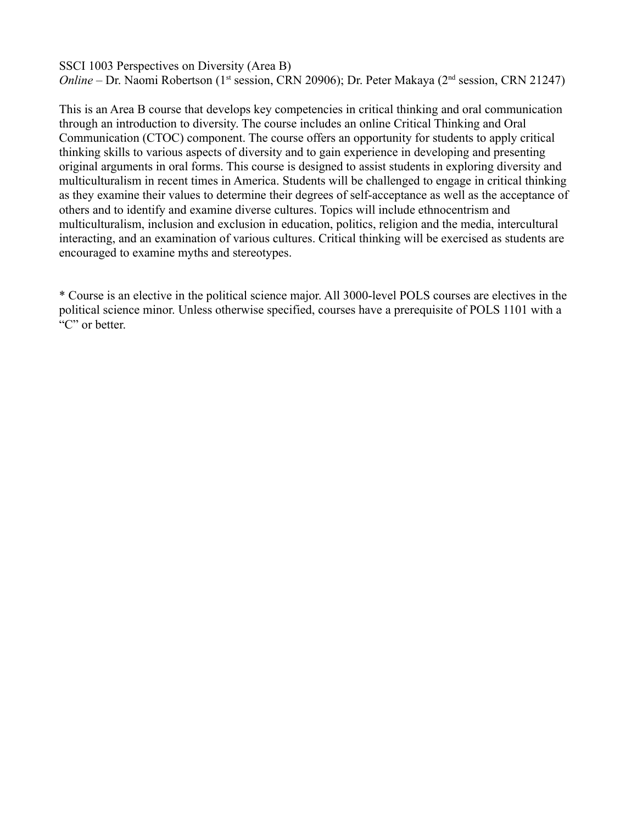SSCI 1003 Perspectives on Diversity (Area B) *Online* – Dr. Naomi Robertson (1<sup>st</sup> session, CRN 20906); Dr. Peter Makaya (2<sup>nd</sup> session, CRN 21247)

This is an Area B course that develops key competencies in critical thinking and oral communication through an introduction to diversity. The course includes an online Critical Thinking and Oral Communication (CTOC) component. The course offers an opportunity for students to apply critical thinking skills to various aspects of diversity and to gain experience in developing and presenting original arguments in oral forms. This course is designed to assist students in exploring diversity and multiculturalism in recent times in America. Students will be challenged to engage in critical thinking as they examine their values to determine their degrees of self-acceptance as well as the acceptance of others and to identify and examine diverse cultures. Topics will include ethnocentrism and multiculturalism, inclusion and exclusion in education, politics, religion and the media, intercultural interacting, and an examination of various cultures. Critical thinking will be exercised as students are encouraged to examine myths and stereotypes.

\* Course is an elective in the political science major. All 3000-level POLS courses are electives in the political science minor. Unless otherwise specified, courses have a prerequisite of POLS 1101 with a "C" or better.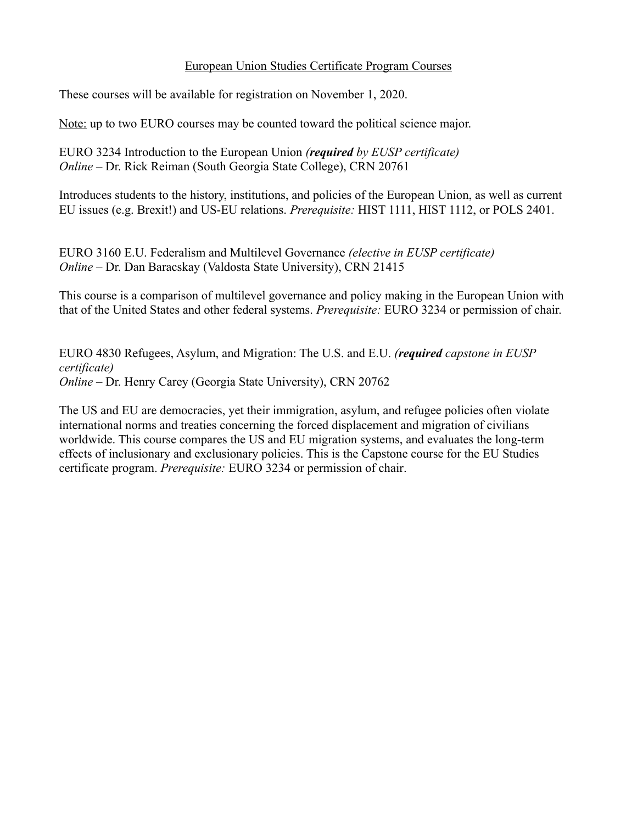### European Union Studies Certificate Program Courses

These courses will be available for registration on November 1, 2020.

Note: up to two EURO courses may be counted toward the political science major.

EURO 3234 Introduction to the European Union *(required by EUSP certificate) Online* – Dr. Rick Reiman (South Georgia State College), CRN 20761

Introduces students to the history, institutions, and policies of the European Union, as well as current EU issues (e.g. Brexit!) and US-EU relations. *Prerequisite:* HIST 1111, HIST 1112, or POLS 2401.

EURO 3160 E.U. Federalism and Multilevel Governance *(elective in EUSP certificate) Online* – Dr. Dan Baracskay (Valdosta State University), CRN 21415

This course is a comparison of multilevel governance and policy making in the European Union with that of the United States and other federal systems. *Prerequisite:* EURO 3234 or permission of chair.

EURO 4830 Refugees, Asylum, and Migration: The U.S. and E.U. *(required capstone in EUSP certificate) Online* – Dr. Henry Carey (Georgia State University), CRN 20762

The US and EU are democracies, yet their immigration, asylum, and refugee policies often violate international norms and treaties concerning the forced displacement and migration of civilians worldwide. This course compares the US and EU migration systems, and evaluates the long-term effects of inclusionary and exclusionary policies. This is the Capstone course for the EU Studies certificate program. *Prerequisite:* EURO 3234 or permission of chair.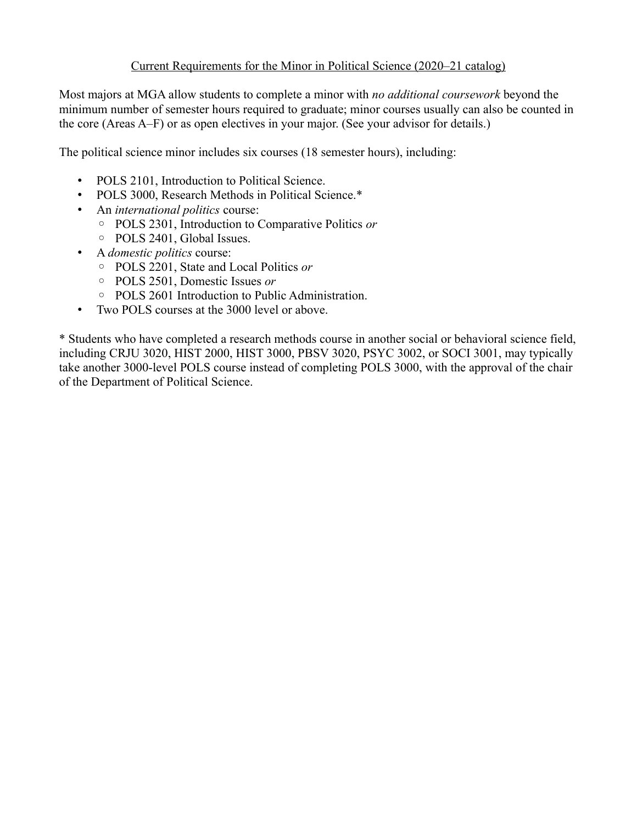## Current Requirements for the Minor in Political Science (2020–21 catalog)

Most majors at MGA allow students to complete a minor with *no additional coursework* beyond the minimum number of semester hours required to graduate; minor courses usually can also be counted in the core (Areas A–F) or as open electives in your major. (See your advisor for details.)

The political science minor includes six courses (18 semester hours), including:

- POLS 2101, Introduction to Political Science.
- POLS 3000, Research Methods in Political Science.\*
- An *international politics* course:
	- POLS 2301, Introduction to Comparative Politics *or*
	- POLS 2401, Global Issues.
- A *domestic politics* course:
	- POLS 2201, State and Local Politics *or*
	- POLS 2501, Domestic Issues *or*
	- POLS 2601 Introduction to Public Administration.
- Two POLS courses at the 3000 level or above.

\* Students who have completed a research methods course in another social or behavioral science field, including CRJU 3020, HIST 2000, HIST 3000, PBSV 3020, PSYC 3002, or SOCI 3001, may typically take another 3000-level POLS course instead of completing POLS 3000, with the approval of the chair of the Department of Political Science.